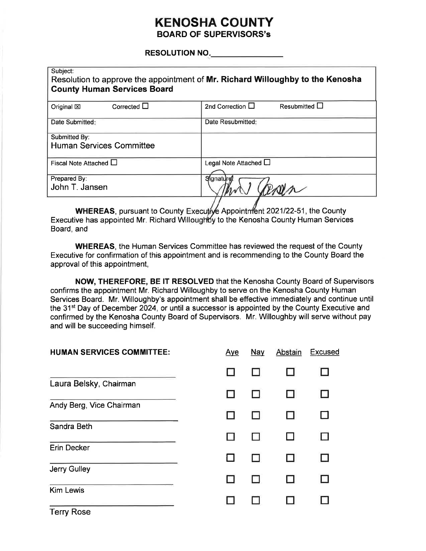## **KENOSHA COUNTY BOARD OF SUPERVISORS's**

### RESOLUTION NO.

| Subject:<br><b>County Human Services Board</b>   | Resolution to approve the appointment of Mr. Richard Willoughby to the Kenosha |
|--------------------------------------------------|--------------------------------------------------------------------------------|
| Corrected $\Box$<br>Original $\boxtimes$         | 2nd Correction $\square$<br>Resubmitted $\Box$                                 |
| Date Submitted:                                  | Date Resubmitted:                                                              |
| Submitted By:<br><b>Human Services Committee</b> |                                                                                |
| Fiscal Note Attached $\square$                   | Legal Note Attached $\Box$                                                     |
| Prepared By:<br>John T. Jansen                   | Signature                                                                      |

WHEREAS, pursuant to County Executy Appointment 2021/22-51, the County Executive has appointed Mr. Richard Willoughby to the Kenosha County Human Services Board, and

**WHEREAS, the Human Services Committee has reviewed the request of the County** Executive for confirmation of this appointment and is recommending to the County Board the approval of this appointment,

NOW, THEREFORE, BE IT RESOLVED that the Kenosha County Board of Supervisors confirms the appointment Mr. Richard Willoughby to serve on the Kenosha County Human Services Board. Mr. Willoughby's appointment shall be effective immediately and continue until the 31<sup>st</sup> Day of December 2024, or until a successor is appointed by the County Executive and confirmed by the Kenosha County Board of Supervisors. Mr. Willoughby will serve without pay and will be succeeding himself.

| <b>HUMAN SERVICES COMMITTEE:</b> | <u>Aye</u> | <u>Nay</u> | Abstain | <b>Excused</b> |
|----------------------------------|------------|------------|---------|----------------|
|                                  |            |            |         |                |
| Laura Belsky, Chairman           |            |            | П       |                |
| Andy Berg, Vice Chairman         |            |            | П       |                |
| Sandra Beth                      |            |            |         |                |
| <b>Erin Decker</b>               |            |            | Н       |                |
| Jerry Gulley                     |            |            |         |                |
| <b>Kim Lewis</b>                 |            |            |         |                |
| <b>Terry Rose</b>                |            |            |         |                |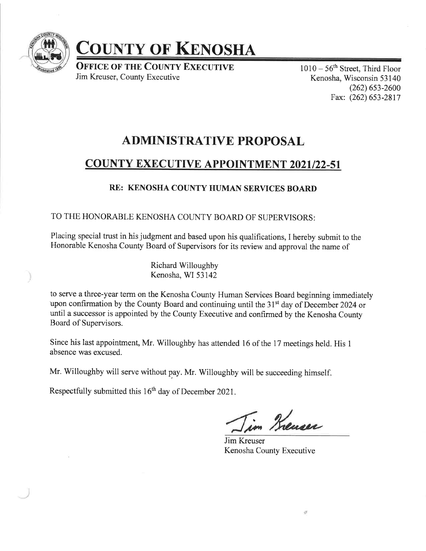

# **COUNTY OF KENOSHA**

**OFFICE OF THE COUNTY EXECUTIVE** Jim Kreuser, County Executive

 $1010-56$ <sup>th</sup> Street, Third Floor Kenosha, Wisconsin 53 140  $(262)$  653-2600 Fax: (262) 653-2817

## ADMINISTRATIVE PROPOSAL

## **COUNTY EXECUTIVE APPOINTMENT 2021/22-51**

## RE: KENOSHA COUNTY HUMAN SERVICES BOARD

## TO THE HONORABLE KENOSHA COUNTY BOARD OF SUPERVISORS:

Placing special trust in his judgment and based upon his qualifications, I hereby submit to the Honorable Kenosha County Board of Supervisors for its review and approval the name of

> Richard Willoughby Kenosha, WI 53142

to serve a three-year term on the Kenosha County Human Services Board beginning immediately upon confirmation by the County Board and continuing until the 31<sup>st</sup> day of December 2024 or until a successor is appointed by the County Executive and confirmed by the Kenosha County Board of Supervisors.

Since his last appointment, Mr. Willoughby has attended 16 of the 17 meetings held. His <sup>1</sup> absence was excused.

Mr. Willoughby will serve without pay. Mr. Willoughby will be succeeding himself

Respectfully submitted this 16<sup>th</sup> day of December 2021.

Krenser

Jim Kreuser Kenosha County Executive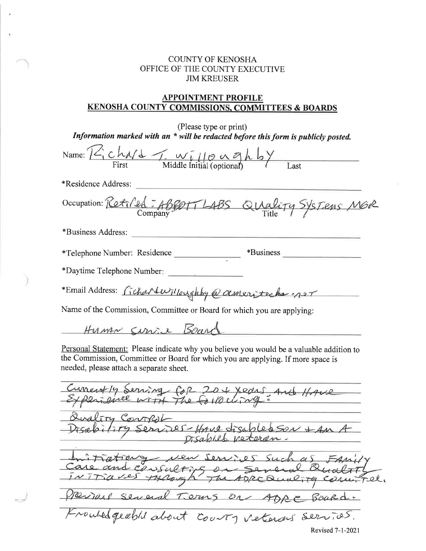## COUNTY OF KENOSHA OFFICE OF THE COUNTY EXECUTIVE JIM KREUSER

### APPOINTMENT PROFILE KENOSHA COUNTY COMMISSIONS. COMMITTEES & BOARDS

| (Please type or print)<br>Information marked with an $*$ will be redacted before this form is publicly posted.                                                                                                        |  |  |  |
|-----------------------------------------------------------------------------------------------------------------------------------------------------------------------------------------------------------------------|--|--|--|
| Name: $12 \times 1100$<br>First Middle Initial (optional)                                                                                                                                                             |  |  |  |
| *Residence Address:                                                                                                                                                                                                   |  |  |  |
| Occupation: Retiled: ABSOTT LABS QUality SYSTEMS MOR                                                                                                                                                                  |  |  |  |
| *Business Address:                                                                                                                                                                                                    |  |  |  |
| *Telephone Number: Residence                                                                                                                                                                                          |  |  |  |
| *Daytime Telephone Number:                                                                                                                                                                                            |  |  |  |
| *Email Address: Cichardwilloughby @ asservateche not                                                                                                                                                                  |  |  |  |
| Name of the Commission, Committee or Board for which you are applying:                                                                                                                                                |  |  |  |
| Human Curis Board                                                                                                                                                                                                     |  |  |  |
| Personal Statement: Please indicate why you believe you would be a valuable addition to<br>the Commission, Committee or Board for which you are applying. If more space is<br>needed, please attach a separate sheet. |  |  |  |
| Currently Serving COR 20 + Xears And HAVE                                                                                                                                                                             |  |  |  |
| lity Control<br>erices-Have disabled Son + An A                                                                                                                                                                       |  |  |  |
| Disabile veteran.                                                                                                                                                                                                     |  |  |  |
| itiations were services such as FAMIL<br>RCQual                                                                                                                                                                       |  |  |  |
| Perpas Several Terms on<br>600Rd.<br>DR                                                                                                                                                                               |  |  |  |
| Knowledgeable about courty veteras services.                                                                                                                                                                          |  |  |  |
| Revised 7-1-2021                                                                                                                                                                                                      |  |  |  |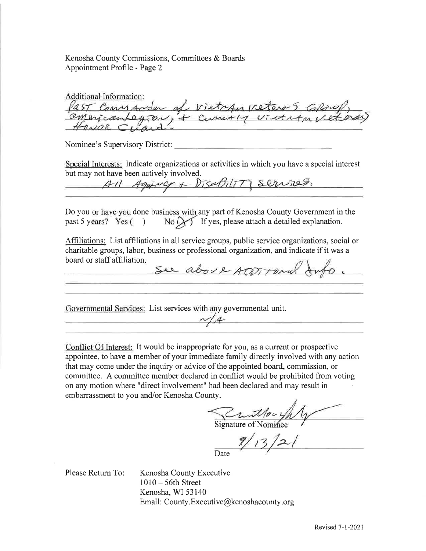Kenosha County Commissions, Committees & Boards Appointment Profile - Page 2

Additional Information: Past Commander of vietran veteras GROWP,

Nominee's Supervisory District:

Special Interests: Indicate organizations or activities in which you have a special interest

but may not have been actively involved.<br>All Agging + DisaBility services.

Do you or have you done business with\_ any part of Kenosha County Government in the  $\frac{1}{100}$  you of have you done business with any part of Kenosia County Government is<br>past 5 years? Yes ( ) No  $\bigcup$  If yes, please attach a detailed explanation.

Affiliations: List affiliations in all service groups, public service organizations, social or charitable groups, labor, business or professional organization, and indicate if it was a board or staff affiliation

See about ADDITORIal Info.

Governmental Services: List services with any govemmental unit.  $\mathcal{N}$   $\mathcal{A}$ 

Conflict Of Interest: It would be inappropriate for you, as a current or prospective appointee, to have a member of your immediate family directly involved with any action that may come under the inquiry or advice of the appointed board, commission, or committee. A committee member declared in conflict would be prohibited from voting on any motion where "direct involvement" had been declared and may result in embarrassment to you and/or Kenosha County.

 $\mathscr{D} \cup$ 

Signature of N

 $\overline{z}$ Date

Please Return To:

Kenosha County Executive <sup>1010</sup>- 56th Street Kenosha, WI 53140 Email: County.Executive@kenoshacounty.org